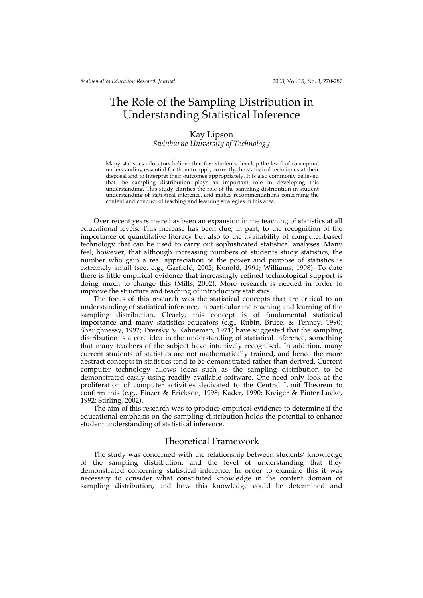# The Role of the Sampling Distribution in Understanding Statistical Inference

#### Kay Lipson

*Swinburne University of Technology*

Many statistics educators believe that few students develop the level of conceptual understanding essential for them to apply correctly the statistical techniques at their disposal and to interpret their outcomes appropriately. It is also commonly believed that the sampling distribution plays an important role in developing this understanding. This study clarifies the role of the sampling distribution in student understanding of statistical inference, and makes recommendations concerning the content and conduct of teaching and learning strategies in this area.

Over recent years there has been an expansion in the teaching of statistics at all educational levels. This increase has been due, in part, to the recognition of the importance of quantitative literacy but also to the availability of computer-based technology that can be used to carry out sophisticated statistical analyses. Many feel, however, that although increasing numbers of students study statistics, the number who gain a real appreciation of the power and purpose of statistics is extremely small (see, e.g., Garfield, 2002; Konold, 1991; Williams, 1998). To date there is little empirical evidence that increasingly refined technological support is doing much to change this (Mills, 2002). More research is needed in order to improve the structure and teaching of introductory statistics.

The focus of this research was the statistical concepts that are critical to an understanding of statistical inference, in particular the teaching and learning of the sampling distribution. Clearly, this concept is of fundamental statistical importance and many statistics educators (e.g., Rubin, Bruce, & Tenney, 1990; Shaughnessy, 1992; Tversky & Kahneman, 1971) have suggested that the sampling distribution is a core idea in the understanding of statistical inference, something that many teachers of the subject have intuitively recognised. In addition, many current students of statistics are not mathematically trained, and hence the more abstract concepts in statistics tend to be demonstrated rather than derived. Current computer technology allows ideas such as the sampling distribution to be demonstrated easily using readily available software. One need only look at the proliferation of computer activities dedicated to the Central Limit Theorem to confirm this (e.g., Finzer & Erickson, 1998; Kader, 1990; Kreiger & Pinter-Lucke, 1992; Stirling, 2002).

The aim of this research was to produce empirical evidence to determine if the educational emphasis on the sampling distribution holds the potential to enhance student understanding of statistical inference.

### Theoretical Framework

The study was concerned with the relationship between students' knowledge of the sampling distribution, and the level of understanding that they demonstrated concerning statistical inference. In order to examine this it was necessary to consider what constituted knowledge in the content domain of sampling distribution, and how this knowledge could be determined and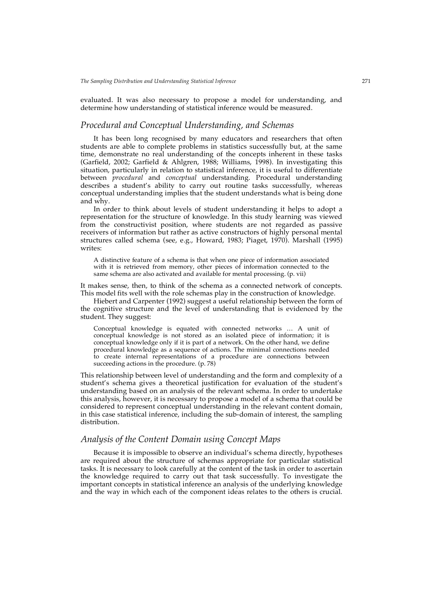evaluated. It was also necessary to propose a model for understanding, and determine how understanding of statistical inference would be measured.

# *Procedural and Conceptual Understanding, and Schemas*

It has been long recognised by many educators and researchers that often students are able to complete problems in statistics successfully but, at the same time, demonstrate no real understanding of the concepts inherent in these tasks (Garfield, 2002; Garfield & Ahlgren, 1988; Williams, 1998). In investigating this situation, particularly in relation to statistical inference, it is useful to differentiate between *procedural* and *conceptual* understanding. Procedural understanding describes a student's ability to carry out routine tasks successfully, whereas conceptual understanding implies that the student understands what is being done and why.

In order to think about levels of student understanding it helps to adopt a representation for the structure of knowledge. In this study learning was viewed from the constructivist position, where students are not regarded as passive receivers of information but rather as active constructors of highly personal mental structures called schema (see, e.g., Howard, 1983; Piaget, 1970). Marshall (1995) writes:

A distinctive feature of a schema is that when one piece of information associated with it is retrieved from memory, other pieces of information connected to the same schema are also activated and available for mental processing. (p. vii)

It makes sense, then, to think of the schema as a connected network of concepts. This model fits well with the role schemas play in the construction of knowledge.

Hiebert and Carpenter (1992) suggest a useful relationship between the form of the cognitive structure and the level of understanding that is evidenced by the student. They suggest:

Conceptual knowledge is equated with connected networks … A unit of conceptual knowledge is not stored as an isolated piece of information; it is conceptual knowledge only if it is part of a network. On the other hand, we define procedural knowledge as a sequence of actions. The minimal connections needed to create internal representations of a procedure are connections between succeeding actions in the procedure. (p. 78)

This relationship between level of understanding and the form and complexity of a student's schema gives a theoretical justification for evaluation of the student's understanding based on an analysis of the relevant schema. In order to undertake this analysis, however, it is necessary to propose a model of a schema that could be considered to represent conceptual understanding in the relevant content domain, in this case statistical inference, including the sub-domain of interest, the sampling distribution.

# *Analysis of the Content Domain using Concept Maps*

Because it is impossible to observe an individual's schema directly, hypotheses are required about the structure of schemas appropriate for particular statistical tasks. It is necessary to look carefully at the content of the task in order to ascertain the knowledge required to carry out that task successfully. To investigate the important concepts in statistical inference an analysis of the underlying knowledge and the way in which each of the component ideas relates to the others is crucial.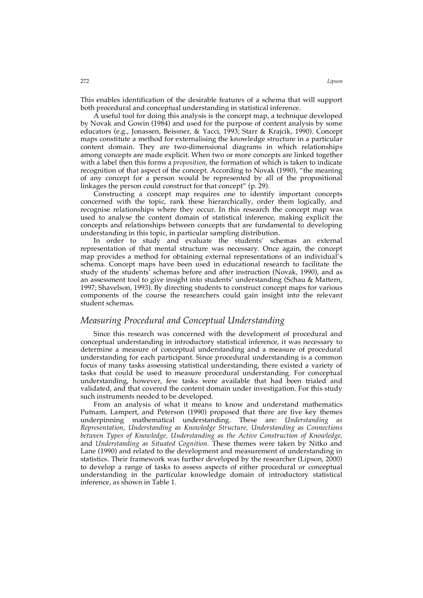This enables identification of the desirable features of a schema that will support both procedural and conceptual understanding in statistical inference.

A useful tool for doing this analysis is the concept map, a technique developed by Novak and Gowin (1984) and used for the purpose of content analysis by some educators (e.g., Jonassen, Beissner, & Yacci, 1993; Starr & Krajcik, 1990). Concept maps constitute a method for externalising the knowledge structure in a particular content domain. They are two-dimensional diagrams in which relationships among concepts are made explicit. When two or more concepts are linked together with a label then this forms a *proposition*, the formation of which is taken to indicate recognition of that aspect of the concept. According to Novak (1990), "the meaning of any concept for a person would be represented by all of the propositional linkages the person could construct for that concept" (p. 29).

Constructing a concept map requires one to identify important concepts concerned with the topic, rank these hierarchically, order them logically, and recognise relationships where they occur. In this research the concept map was used to analyse the content domain of statistical inference, making explicit the concepts and relationships between concepts that are fundamental to developing understanding in this topic, in particular sampling distribution.

In order to study and evaluate the students' schemas an external representation of that mental structure was necessary. Once again, the concept map provides a method for obtaining external representations of an individual's schema. Concept maps have been used in educational research to facilitate the study of the students' schemas before and after instruction (Novak, 1990), and as an assessment tool to give insight into students' understanding (Schau & Mattern, 1997; Shavelson, 1993). By directing students to construct concept maps for various components of the course the researchers could gain insight into the relevant student schemas.

### *Measuring Procedural and Conceptual Understanding*

Since this research was concerned with the development of procedural and conceptual understanding in introductory statistical inference, it was necessary to determine a measure of conceptual understanding and a measure of procedural understanding for each participant. Since procedural understanding is a common focus of many tasks assessing statistical understanding, there existed a variety of tasks that could be used to measure procedural understanding. For conceptual understanding, however, few tasks were available that had been trialed and validated, and that covered the content domain under investigation. For this study such instruments needed to be developed.

From an analysis of what it means to know and understand mathematics Putnam, Lampert, and Peterson (1990) proposed that there are five key themes underpinning mathematical understanding. These are: *Understanding as Representation, Understanding as Knowledge Structure, Understanding as Connections between Types of Knowledge, Understanding as the Active Construction of Knowledge,* and *Understanding as Situated Cognition*. These themes were taken by Nitko and Lane (1990) and related to the development and measurement of understanding in statistics. Their framework was further developed by the researcher (Lipson, 2000) to develop a range of tasks to assess aspects of either procedural or conceptual understanding in the particular knowledge domain of introductory statistical inference, as shown in Table 1.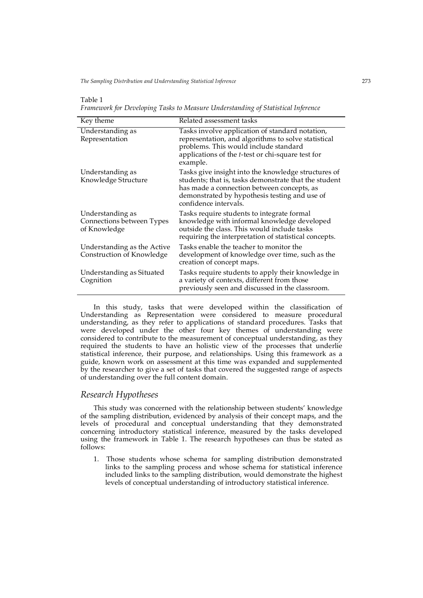*The Sampling Distribution and Understanding Statistical Inference* 273

#### Table 1

*Framework for Developing Tasks to Measure Understanding of Statistical Inference*

| Key theme                                                     | Related assessment tasks                                                                                                                                                                                                             |
|---------------------------------------------------------------|--------------------------------------------------------------------------------------------------------------------------------------------------------------------------------------------------------------------------------------|
| Understanding as<br>Representation                            | Tasks involve application of standard notation,<br>representation, and algorithms to solve statistical<br>problems. This would include standard<br>applications of the <i>t</i> -test or chi-square test for<br>example.             |
| Understanding as<br>Knowledge Structure                       | Tasks give insight into the knowledge structures of<br>students; that is, tasks demonstrate that the student<br>has made a connection between concepts, as<br>demonstrated by hypothesis testing and use of<br>confidence intervals. |
| Understanding as<br>Connections between Types<br>of Knowledge | Tasks require students to integrate formal<br>knowledge with informal knowledge developed<br>outside the class. This would include tasks<br>requiring the interpretation of statistical concepts.                                    |
| Understanding as the Active<br>Construction of Knowledge      | Tasks enable the teacher to monitor the<br>development of knowledge over time, such as the<br>creation of concept maps.                                                                                                              |
| Understanding as Situated<br>Cognition                        | Tasks require students to apply their knowledge in<br>a variety of contexts, different from those<br>previously seen and discussed in the classroom.                                                                                 |

In this study, tasks that were developed within the classification of Understanding as Representation were considered to measure procedural understanding, as they refer to applications of standard procedures. Tasks that were developed under the other four key themes of understanding were considered to contribute to the measurement of conceptual understanding, as they required the students to have an holistic view of the processes that underlie statistical inference, their purpose, and relationships. Using this framework as a guide, known work on assessment at this time was expanded and supplemented by the researcher to give a set of tasks that covered the suggested range of aspects of understanding over the full content domain.

#### *Research Hypotheses*

This study was concerned with the relationship between students' knowledge of the sampling distribution, evidenced by analysis of their concept maps, and the levels of procedural and conceptual understanding that they demonstrated concerning introductory statistical inference, measured by the tasks developed using the framework in Table 1. The research hypotheses can thus be stated as follows:

1. Those students whose schema for sampling distribution demonstrated links to the sampling process and whose schema for statistical inference included links to the sampling distribution, would demonstrate the highest levels of conceptual understanding of introductory statistical inference.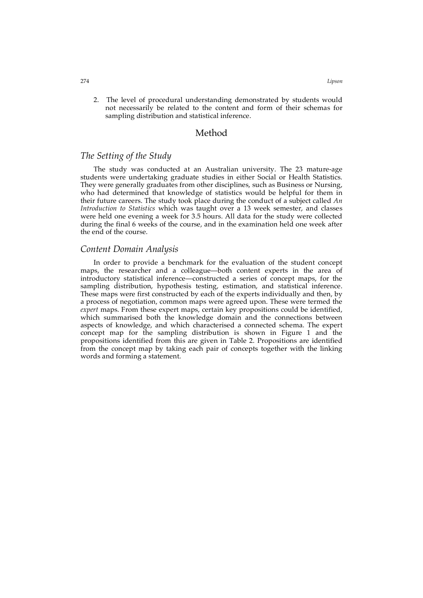2. The level of procedural understanding demonstrated by students would not necessarily be related to the content and form of their schemas for sampling distribution and statistical inference.

### Method

# *The Setting of the Study*

The study was conducted at an Australian university. The 23 mature-age students were undertaking graduate studies in either Social or Health Statistics. They were generally graduates from other disciplines, such as Business or Nursing, who had determined that knowledge of statistics would be helpful for them in their future careers. The study took place during the conduct of a subject called *An Introduction to Statistics* which was taught over a 13 week semester, and classes were held one evening a week for 3.5 hours. All data for the study were collected during the final 6 weeks of the course, and in the examination held one week after the end of the course.

#### *Content Domain Analysis*

In order to provide a benchmark for the evaluation of the student concept maps, the researcher and a colleague—both content experts in the area of introductory statistical inference—constructed a series of concept maps, for the sampling distribution, hypothesis testing, estimation, and statistical inference. These maps were first constructed by each of the experts individually and then, by a process of negotiation, common maps were agreed upon. These were termed the *expert* maps. From these expert maps, certain key propositions could be identified, which summarised both the knowledge domain and the connections between aspects of knowledge, and which characterised a connected schema. The expert concept map for the sampling distribution is shown in Figure 1 and the propositions identified from this are given in Table 2. Propositions are identified from the concept map by taking each pair of concepts together with the linking words and forming a statement.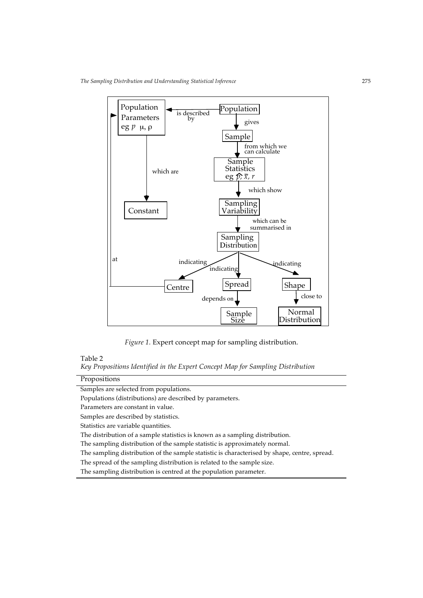*The Sampling Distribution and Understanding Statistical Inference* 275



*Figure 1.* Expert concept map for sampling distribution.

#### Table 2

*Key Propositions Identified in the Expert Concept Map for Sampling Distribution*

| Propositions |
|--------------|
|              |

Samples are selected from populations.

Populations (distributions) are described by parameters.

Parameters are constant in value.

Samples are described by statistics.

Statistics are variable quantities.

The distribution of a sample statistics is known as a sampling distribution.

The sampling distribution of the sample statistic is approximately normal.

The sampling distribution of the sample statistic is characterised by shape, centre, spread.

The spread of the sampling distribution is related to the sample size.

The sampling distribution is centred at the population parameter.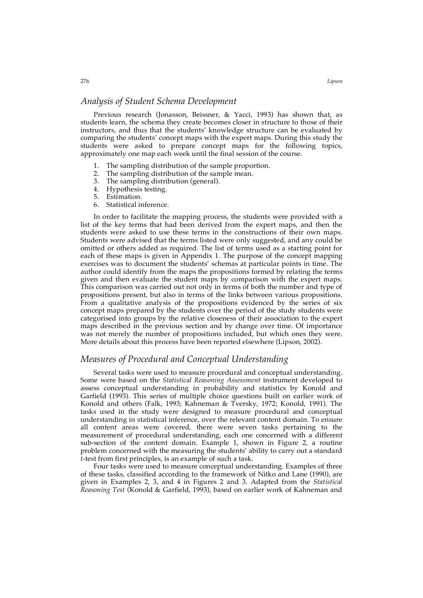# *Analysis of Student Schema Development*

Previous research (Jonasson, Beissner, & Yacci, 1993) has shown that, as students learn, the schema they create becomes closer in structure to those of their instructors, and thus that the students' knowledge structure can be evaluated by comparing the students' concept maps with the expert maps. During this study the students were asked to prepare concept maps for the following topics, approximately one map each week until the final session of the course.

- 1. The sampling distribution of the sample proportion.
- 2. The sampling distribution of the sample mean.
- 3. The sampling distribution (general).
- 4. Hypothesis testing.
- 5. Estimation.
- 6. Statistical inference.

In order to facilitate the mapping process, the students were provided with a list of the key terms that had been derived from the expert maps, and then the students were asked to use these terms in the constructions of their own maps. Students were advised that the terms listed were only suggested, and any could be omitted or others added as required. The list of terms used as a starting point for each of these maps is given in Appendix 1. The purpose of the concept mapping exercises was to document the students' schemas at particular points in time. The author could identify from the maps the propositions formed by relating the terms given and then evaluate the student maps by comparison with the expert maps. This comparison was carried out not only in terms of both the number and type of propositions present, but also in terms of the links between various propositions. From a qualitative analysis of the propositions evidenced by the series of six concept maps prepared by the students over the period of the study students were categorised into groups by the relative closeness of their association to the expert maps described in the previous section and by change over time. Of importance was not merely the number of propositions included, but which ones they were. More details about this process have been reported elsewhere (Lipson, 2002).

# *Measures of Procedural and Conceptual Understanding*

Several tasks were used to measure procedural and conceptual understanding. Some were based on the *Statistical Reasoning Assessment* instrument developed to assess conceptual understanding in probability and statistics by Konold and Garfield (1993). This series of multiple choice questions built on earlier work of Konold and others (Falk, 1993; Kahneman & Tversky, 1972; Konold, 1991). The tasks used in the study were designed to measure procedural and conceptual understanding in statistical inference, over the relevant content domain. To ensure all content areas were covered, there were seven tasks pertaining to the measurement of procedural understanding, each one concerned with a different sub-section of the content domain. Example 1, shown in Figure 2, a routine problem concerned with the measuring the students' ability to carry out a standard *t*-test from first principles, is an example of such a task.

Four tasks were used to measure conceptual understanding. Examples of three of these tasks, classified according to the framework of Nitko and Lane (1990), are given in Examples 2, 3, and 4 in Figures 2 and 3. Adapted from the *Statistical Reasoning Test* (Konold & Garfield, 1993), based on earlier work of Kahneman and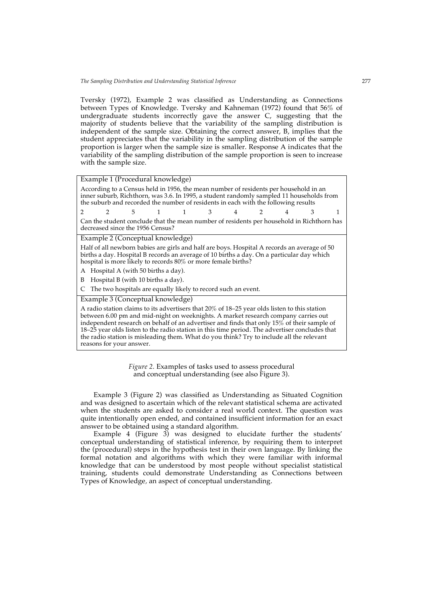Tversky (1972), Example 2 was classified as Understanding as Connections between Types of Knowledge. Tversky and Kahneman (1972) found that 56% of undergraduate students incorrectly gave the answer C, suggesting that the majority of students believe that the variability of the sampling distribution is independent of the sample size. Obtaining the correct answer, B, implies that the student appreciates that the variability in the sampling distribution of the sample proportion is larger when the sample size is smaller. Response A indicates that the variability of the sampling distribution of the sample proportion is seen to increase with the sample size.

| Example 1 (Procedural knowledge) |  |  |  |
|----------------------------------|--|--|--|
|----------------------------------|--|--|--|

According to a Census held in 1956, the mean number of residents per household in an inner suburb, Richthorn, was 3.6. In 1995, a student randomly sampled 11 households from the suburb and recorded the number of residents in each with the following results

2 2 5 1 1 3 4 2 4 3 1 Can the student conclude that the mean number of residents per household in Richthorn has decreased since the 1956 Census?

Example 2 (Conceptual knowledge)

Half of all newborn babies are girls and half are boys. Hospital A records an average of 50 births a day. Hospital B records an average of 10 births a day. On a particular day which hospital is more likely to records 80% or more female births?

A Hospital A (with 50 births a day).

B Hospital B (with 10 births a day).

C The two hospitals are equally likely to record such an event.

Example 3 (Conceptual knowledge)

A radio station claims to its advertisers that 20% of 18–25 year olds listen to this station between 6.00 pm and mid-night on weeknights. A market research company carries out independent research on behalf of an advertiser and finds that only 15% of their sample of 18–25 year olds listen to the radio station in this time period. The advertiser concludes that the radio station is misleading them. What do you think? Try to include all the relevant reasons for your answer.

> *Figure 2.* Examples of tasks used to assess procedural and conceptual understanding (see also Figure 3).

Example 3 (Figure 2) was classified as Understanding as Situated Cognition and was designed to ascertain which of the relevant statistical schema are activated when the students are asked to consider a real world context. The question was quite intentionally open ended, and contained insufficient information for an exact answer to be obtained using a standard algorithm.

Example 4 (Figure 3) was designed to elucidate further the students' conceptual understanding of statistical inference, by requiring them to interpret the (procedural) steps in the hypothesis test in their own language. By linking the formal notation and algorithms with which they were familiar with informal knowledge that can be understood by most people without specialist statistical training, students could demonstrate Understanding as Connections between Types of Knowledge*,* an aspect of conceptual understanding.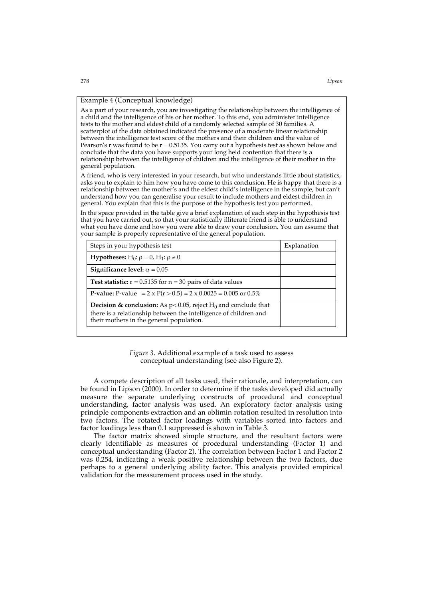#### Example 4 (Conceptual knowledge)

As a part of your research, you are investigating the relationship between the intelligence of a child and the intelligence of his or her mother. To this end, you administer intelligence tests to the mother and eldest child of a randomly selected sample of 30 families. A scatterplot of the data obtained indicated the presence of a moderate linear relationship between the intelligence test score of the mothers and their children and the value of Pearson's r was found to be  $r = 0.5135$ . You carry out a hypothesis test as shown below and conclude that the data you have supports your long held contention that there is a relationship between the intelligence of children and the intelligence of their mother in the general population.

A friend, who is very interested in your research, but who understands little about statistics, asks you to explain to him how you have come to this conclusion. He is happy that there is a relationship between the mother's and the eldest child's intelligence in the sample, but can't understand how you can generalise your result to include mothers and eldest children in general. You explain that this is the purpose of the hypothesis test you performed.

In the space provided in the table give a brief explanation of each step in the hypothesis test that you have carried out, so that your statistically illiterate friend is able to understand what you have done and how you were able to draw your conclusion. You can assume that your sample is properly representative of the general population.

| Steps in your hypothesis test                                                                                                                                                                             | Explanation |  |
|-----------------------------------------------------------------------------------------------------------------------------------------------------------------------------------------------------------|-------------|--|
| <b>Hypotheses:</b> H <sub>0</sub> : $\rho = 0$ , H <sub>1</sub> : $\rho \neq 0$                                                                                                                           |             |  |
| Significance level: $\alpha = 0.05$                                                                                                                                                                       |             |  |
| <b>Test statistic:</b> $r = 0.5135$ for $n = 30$ pairs of data values                                                                                                                                     |             |  |
| <b>P-value:</b> P-value = $2 \times P(r > 0.5) = 2 \times 0.0025 = 0.005$ or $0.5\%$                                                                                                                      |             |  |
| <b>Decision &amp; conclusion:</b> As $p < 0.05$ , reject H <sub>0</sub> and conclude that<br>there is a relationship between the intelligence of children and<br>their mothers in the general population. |             |  |

*Figure 3*. Additional example of a task used to assess conceptual understanding (see also Figure 2).

A compete description of all tasks used, their rationale, and interpretation, can be found in Lipson (2000). In order to determine if the tasks developed did actually measure the separate underlying constructs of procedural and conceptual understanding, factor analysis was used. An exploratory factor analysis using principle components extraction and an oblimin rotation resulted in resolution into two factors. The rotated factor loadings with variables sorted into factors and factor loadings less than 0.1 suppressed is shown in Table 3.

The factor matrix showed simple structure, and the resultant factors were clearly identifiable as measures of procedural understanding (Factor 1) and conceptual understanding (Factor 2). The correlation between Factor 1 and Factor 2 was 0.254, indicating a weak positive relationship between the two factors, due perhaps to a general underlying ability factor. This analysis provided empirical validation for the measurement process used in the study.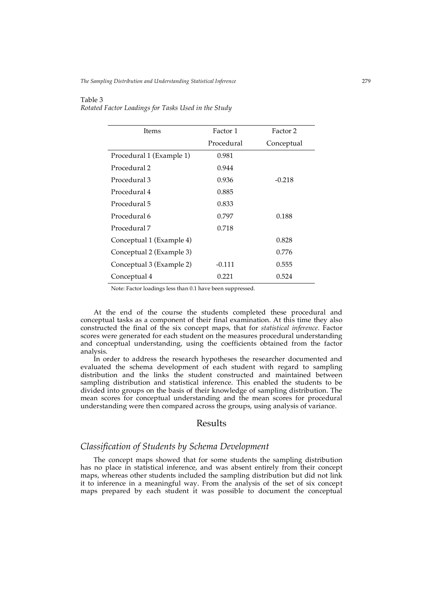#### Table 3

*Rotated Factor Loadings for Tasks Used in the Study*

| Items                    | Factor 1   | Factor 2   |
|--------------------------|------------|------------|
|                          | Procedural | Conceptual |
| Procedural 1 (Example 1) | 0.981      |            |
| Procedural 2             | 0.944      |            |
| Procedural 3             | 0.936      | $-0.218$   |
| Procedural 4             | 0.885      |            |
| Procedural 5             | 0.833      |            |
| Procedural 6             | 0.797      | 0.188      |
| Procedural 7             | 0.718      |            |
| Conceptual 1 (Example 4) |            | 0.828      |
| Conceptual 2 (Example 3) |            | 0.776      |
| Conceptual 3 (Example 2) | $-0.111$   | 0.555      |
| Conceptual 4             | 0.221      | 0.524      |

Note: Factor loadings less than 0.1 have been suppressed.

At the end of the course the students completed these procedural and conceptual tasks as a component of their final examination. At this time they also constructed the final of the six concept maps, that for *statistical inference*. Factor scores were generated for each student on the measures procedural understanding and conceptual understanding, using the coefficients obtained from the factor analysis.

In order to address the research hypotheses the researcher documented and evaluated the schema development of each student with regard to sampling distribution and the links the student constructed and maintained between sampling distribution and statistical inference. This enabled the students to be divided into groups on the basis of their knowledge of sampling distribution. The mean scores for conceptual understanding and the mean scores for procedural understanding were then compared across the groups, using analysis of variance.

# Results

# *Classification of Students by Schema Development*

The concept maps showed that for some students the sampling distribution has no place in statistical inference, and was absent entirely from their concept maps, whereas other students included the sampling distribution but did not link it to inference in a meaningful way. From the analysis of the set of six concept maps prepared by each student it was possible to document the conceptual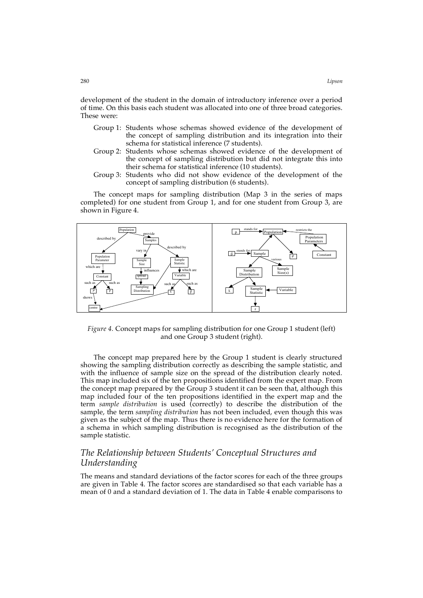development of the student in the domain of introductory inference over a period of time. On this basis each student was allocated into one of three broad categories. These were:

- Group 1: Students whose schemas showed evidence of the development of the concept of sampling distribution and its integration into their schema for statistical inference (7 students).
- Group 2: Students whose schemas showed evidence of the development of the concept of sampling distribution but did not integrate this into their schema for statistical inference (10 students).
- Group 3: Students who did not show evidence of the development of the concept of sampling distribution (6 students).

The concept maps for sampling distribution (Map 3 in the series of maps completed) for one student from Group 1, and for one student from Group 3, are shown in Figure 4.



*Figure 4.* Concept maps for sampling distribution for one Group 1 student (left) and one Group 3 student (right).

The concept map prepared here by the Group 1 student is clearly structured showing the sampling distribution correctly as describing the sample statistic, and with the influence of sample size on the spread of the distribution clearly noted. This map included six of the ten propositions identified from the expert map. From the concept map prepared by the Group 3 student it can be seen that, although this map included four of the ten propositions identified in the expert map and the term *sample distribution* is used (correctly) to describe the distribution of the sample, the term *sampling distribution* has not been included, even though this was given as the subject of the map. Thus there is no evidence here for the formation of a schema in which sampling distribution is recognised as the distribution of the sample statistic.

# *The Relationship between Students' Conceptual Structures and Understanding*

The means and standard deviations of the factor scores for each of the three groups are given in Table 4. The factor scores are standardised so that each variable has a mean of 0 and a standard deviation of 1. The data in Table 4 enable comparisons to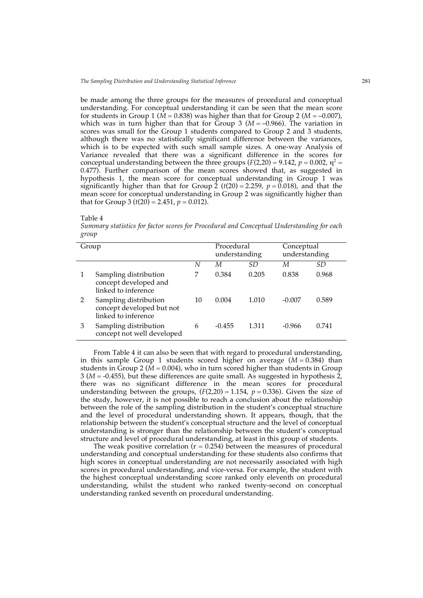be made among the three groups for the measures of procedural and conceptual understanding. For conceptual understanding it can be seen that the mean score for students in Group 1 ( $\dot{M}$  = 0.838) was higher than that for Group 2 ( $M$  = -0.007), which was in turn higher than that for  $\tilde{G}$ roup 3 ( $M = -0.966$ ). The variation in scores was small for the Group 1 students compared to Group 2 and 3 students, although there was no statistically significant difference between the variances, which is to be expected with such small sample sizes. A one-way Analysis of Variance revealed that there was a significant difference in the scores for conceptual understanding between the three groups  $(F(2,20) = 9.142, p = 0.002, \eta^2 =$ 0.477). Further comparison of the mean scores showed that, as suggested in hypothesis 1, the mean score for conceptual understanding in Group 1 was significantly higher than that for Group 2 ( $t(20) = 2.259$ ,  $p = 0.018$ ), and that the mean score for conceptual understanding in Group 2 was significantly higher than that for Group 3 ( $t(20) = 2.451$ ,  $p = 0.012$ ).



*Summary statistics for factor scores for Procedural and Conceptual Understanding for each group*

| Group |                                                                           |    | Procedural<br>understanding |       | Conceptual<br>understanding |       |
|-------|---------------------------------------------------------------------------|----|-----------------------------|-------|-----------------------------|-------|
|       |                                                                           | N  | М                           | SD    | М                           | SD.   |
|       | Sampling distribution<br>concept developed and<br>linked to inference     | 7  | 0.384                       | 0.205 | 0.838                       | 0.968 |
|       | Sampling distribution<br>concept developed but not<br>linked to inference | 10 | 0.004                       | 1.010 | $-0.007$                    | 0.589 |
| 3     | Sampling distribution<br>concept not well developed                       | 6  | $-0.455$                    | 1.311 | $-0.966$                    | 0.741 |

From Table 4 it can also be seen that with regard to procedural understanding, in this sample Group 1 students scored higher on average  $(M = 0.384)$  than students in Group 2 ( $\dot{M}$  = 0.004), who in turn scored higher than students in Group 3 (*M* = -0.455), but these differences are quite small. As suggested in hypothesis 2, there was no significant difference in the mean scores for procedural understanding between the groups,  $(F(2,20) = 1.154, p = 0.336)$ . Given the size of the study, however, it is not possible to reach a conclusion about the relationship between the role of the sampling distribution in the student's conceptual structure and the level of procedural understanding shown. It appears, though, that the relationship between the student's conceptual structure and the level of conceptual understanding is stronger than the relationship between the student's conceptual structure and level of procedural understanding, at least in this group of students.

The weak positive correlation  $(r = 0.254)$  between the measures of procedural understanding and conceptual understanding for these students also confirms that high scores in conceptual understanding are not necessarily associated with high scores in procedural understanding, and vice-versa. For example, the student with the highest conceptual understanding score ranked only eleventh on procedural understanding, whilst the student who ranked twenty-second on conceptual understanding ranked seventh on procedural understanding.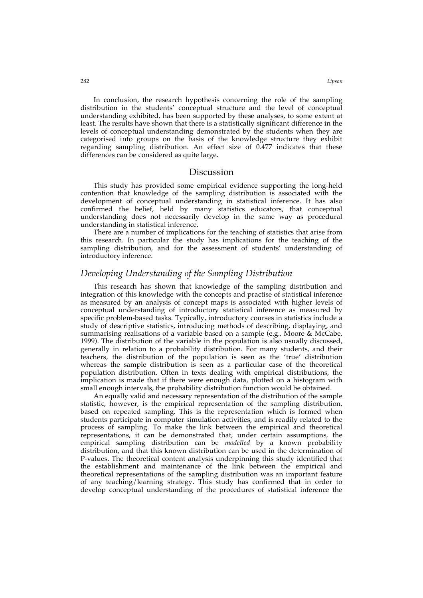In conclusion, the research hypothesis concerning the role of the sampling distribution in the students' conceptual structure and the level of conceptual understanding exhibited, has been supported by these analyses, to some extent at least. The results have shown that there is a statistically significant difference in the levels of conceptual understanding demonstrated by the students when they are categorised into groups on the basis of the knowledge structure they exhibit regarding sampling distribution. An effect size of 0.477 indicates that these differences can be considered as quite large.

#### **Discussion**

This study has provided some empirical evidence supporting the long-held contention that knowledge of the sampling distribution is associated with the development of conceptual understanding in statistical inference. It has also confirmed the belief, held by many statistics educators, that conceptual understanding does not necessarily develop in the same way as procedural understanding in statistical inference.

There are a number of implications for the teaching of statistics that arise from this research. In particular the study has implications for the teaching of the sampling distribution, and for the assessment of students' understanding of introductory inference.

# *Developing Understanding of the Sampling Distribution*

This research has shown that knowledge of the sampling distribution and integration of this knowledge with the concepts and practise of statistical inference as measured by an analysis of concept maps is associated with higher levels of conceptual understanding of introductory statistical inference as measured by specific problem-based tasks. Typically, introductory courses in statistics include a study of descriptive statistics, introducing methods of describing, displaying, and summarising realisations of a variable based on a sample (e.g., Moore & McCabe, 1999). The distribution of the variable in the population is also usually discussed, generally in relation to a probability distribution. For many students, and their teachers, the distribution of the population is seen as the 'true' distribution whereas the sample distribution is seen as a particular case of the theoretical population distribution. Often in texts dealing with empirical distributions, the implication is made that if there were enough data, plotted on a histogram with small enough intervals, the probability distribution function would be obtained.

An equally valid and necessary representation of the distribution of the sample statistic, however, is the empirical representation of the sampling distribution, based on repeated sampling. This is the representation which is formed when students participate in computer simulation activities, and is readily related to the process of sampling. To make the link between the empirical and theoretical representations, it can be demonstrated that, under certain assumptions, the empirical sampling distribution can be *modelled* by a known probability distribution, and that this known distribution can be used in the determination of P-values. The theoretical content analysis underpinning this study identified that the establishment and maintenance of the link between the empirical and theoretical representations of the sampling distribution was an important feature of any teaching/learning strategy. This study has confirmed that in order to develop conceptual understanding of the procedures of statistical inference the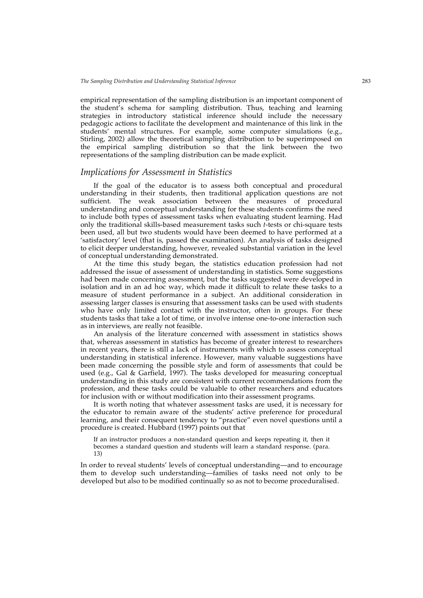empirical representation of the sampling distribution is an important component of the student's schema for sampling distribution. Thus, teaching and learning strategies in introductory statistical inference should include the necessary pedagogic actions to facilitate the development and maintenance of this link in the students' mental structures. For example, some computer simulations (e.g., Stirling, 2002) allow the theoretical sampling distribution to be superimposed on the empirical sampling distribution so that the link between the two representations of the sampling distribution can be made explicit.

### *Implications for Assessment in Statistics*

If the goal of the educator is to assess both conceptual and procedural understanding in their students, then traditional application questions are not sufficient. The weak association between the measures of procedural understanding and conceptual understanding for these students confirms the need to include both types of assessment tasks when evaluating student learning. Had only the traditional skills-based measurement tasks such *t*-tests or chi-square tests been used, all but two students would have been deemed to have performed at a 'satisfactory' level (that is, passed the examination). An analysis of tasks designed to elicit deeper understanding, however, revealed substantial variation in the level of conceptual understanding demonstrated.

At the time this study began, the statistics education profession had not addressed the issue of assessment of understanding in statistics. Some suggestions had been made concerning assessment, but the tasks suggested were developed in isolation and in an ad hoc way, which made it difficult to relate these tasks to a measure of student performance in a subject. An additional consideration in assessing larger classes is ensuring that assessment tasks can be used with students who have only limited contact with the instructor, often in groups. For these students tasks that take a lot of time, or involve intense one-to-one interaction such as in interviews, are really not feasible.

An analysis of the literature concerned with assessment in statistics shows that, whereas assessment in statistics has become of greater interest to researchers in recent years, there is still a lack of instruments with which to assess conceptual understanding in statistical inference. However, many valuable suggestions have been made concerning the possible style and form of assessments that could be used (e.g., Gal & Garfield, 1997). The tasks developed for measuring conceptual understanding in this study are consistent with current recommendations from the profession, and these tasks could be valuable to other researchers and educators for inclusion with or without modification into their assessment programs.

It is worth noting that whatever assessment tasks are used, it is necessary for the educator to remain aware of the students' active preference for procedural learning, and their consequent tendency to "practice" even novel questions until a procedure is created. Hubbard (1997) points out that

If an instructor produces a non-standard question and keeps repeating it, then it becomes a standard question and students will learn a standard response. (para. 13)

In order to reveal students' levels of conceptual understanding—and to encourage them to develop such understanding—families of tasks need not only to be developed but also to be modified continually so as not to become proceduralised.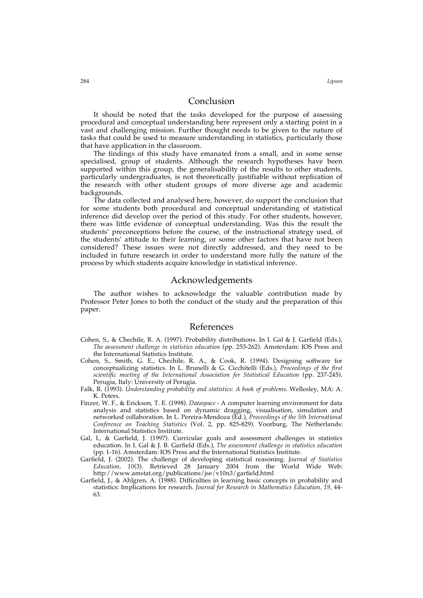### Conclusion

It should be noted that the tasks developed for the purpose of assessing procedural and conceptual understanding here represent only a starting point in a vast and challenging mission. Further thought needs to be given to the nature of tasks that could be used to measure understanding in statistics, particularly those that have application in the classroom.

The findings of this study have emanated from a small, and in some sense specialised, group of students. Although the research hypotheses have been supported within this group, the generalisability of the results to other students, particularly undergraduates, is not theoretically justifiable without replication of the research with other student groups of more diverse age and academic backgrounds.

The data collected and analysed here, however, do support the conclusion that for some students both procedural and conceptual understanding of statistical inference did develop over the period of this study. For other students, however, there was little evidence of conceptual understanding. Was this the result the students' preconceptions before the course, of the instructional strategy used, of the students' attitude to their learning, or some other factors that have not been considered? These issues were not directly addressed, and they need to be included in future research in order to understand more fully the nature of the process by which students acquire knowledge in statistical inference.

# Acknowledgements

The author wishes to acknowledge the valuable contribution made by Professor Peter Jones to both the conduct of the study and the preparation of this paper.

#### References

- Cohen, S., & Chechile, R. A. (1997). Probability distributions. In I. Gal & J. Garfield (Eds.), *The assessment challenge in statistics education* (pp. 253-262). Amsterdam: IOS Press and the International Statistics Institute.
- Cohen, S., Smith, G. E., Chechile, R. A., & Cook, R. (1994). Designing software for conceptualizing statistics. In L. Brunelli & G. Cicchitelli (Eds.), *Proceedings of the first scientific meeting of the International Association for Statistical Education* (pp. 237-245). Perugia, Italy: University of Perugia.
- Falk, R. (1993). *Understanding probability and statistics: A book of problems*. Wellesley, MA: A. K. Peters.
- Finzer, W. F., & Erickson, T. E. (1998). *Dataspace* A computer learning environment for data analysis and statistics based on dynamic dragging, visualisation, simulation and networked collaboration. In L. Pereira-Mendoza (Ed.), *Proceedings of the 5th International Conference on Teaching Statistics* (Vol. 2, pp. 825-829). Voorburg, The Netherlands: International Statistics Institute.
- Gal, I., & Garfield, J. (1997). Curricular goals and assessment challenges in statistics education. In I. Gal & J. B. Garfield (Eds.), *The assessment challenge in statistics education* (pp. 1-16). Amsterdam: IOS Press and the International Statistics Institute.
- Garfield, J. (2002). The challenge of developing statistical reasoning. *Journal of Statistics Education, 10*(3). Retrieved 28 January 2004 from the World Wide Web: http://www.amstat.org/publications/jse/v10n3/garfield.html
- Garfield, J., & Ahlgren, A. (1988). Difficulties in learning basic concepts in probability and statistics: Implications for research. *Journal for Research in Mathematics Education, 19*, 44- 63.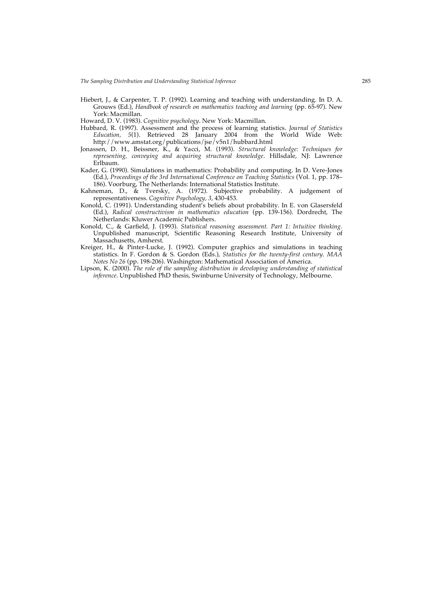*The Sampling Distribution and Understanding Statistical Inference* 285

Hiebert, J., & Carpenter, T. P. (1992). Learning and teaching with understanding. In D. A. Grouws (Ed.), *Handbook of research on mathematics teaching and learning* (pp. 65-97). New York: Macmillan.

Howard, D. V. (1983). *Cognitive psychology*. New York: Macmillan.

- Hubbard, R. (1997). Assessment and the process of learning statistics. *Journal of Statistics Education, 5*(1). Retrieved 28 January 2004 from the World Wide Web: http://www.amstat.org/publications/jse/v5n1/hubbard.html
- Jonassen, D. H., Beissner, K., & Yacci, M. (1993). *Structural knowledge: Techniques for representing, conveying and acquiring structural knowledge*. Hillsdale, NJ: Lawrence Erlbaum.
- Kader, G. (1990). Simulations in mathematics: Probability and computing. In D. Vere-Jones (Ed.), *Proceedings of the 3rd International Conference on Teaching Statistics* (Vol. 1, pp. 178– 186). Voorburg, The Netherlands: International Statistics Institute.
- Kahneman, D., & Tversky, A. (1972). Subjective probability. A judgement of representativeness. *Cognitive Psychology, 3*, 430-453.
- Konold, C. (1991). Understanding student's beliefs about probability. In E. von Glasersfeld (Ed.), *Radical constructivism in mathematics education* (pp. 139-156). Dordrecht, The Netherlands: Kluwer Academic Publishers.
- Konold, C., & Garfield, J. (1993). *Statistical reasoning assessment. Part 1: Intuitive thinking.* Unpublished manuscript, Scientific Reasoning Research Institute, University of Massachusetts, Amherst.
- Kreiger, H., & Pinter-Lucke, J. (1992). Computer graphics and simulations in teaching statistics. In F. Gordon & S. Gordon (Eds.), *Statistics for the twenty-first century. MAA Notes No 26* (pp. 198-206). Washington: Mathematical Association of America.
- Lipson, K. (2000). *The role of the sampling distribution in developing understanding of statistical inference.* Unpublished PhD thesis, Swinburne University of Technology, Melbourne.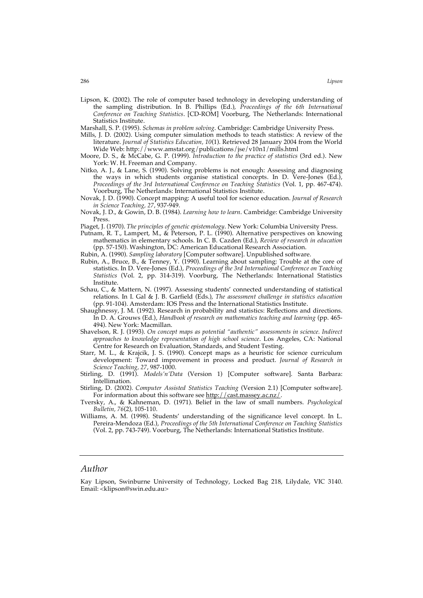Lipson, K. (2002). The role of computer based technology in developing understanding of the sampling distribution. In B. Phillips (Ed.), *Proceedings of the 6th International Conference on Teaching Statistics*. [CD-ROM] Voorburg, The Netherlands: International Statistics Institute.

Marshall, S. P. (1995). *Schemas in problem solving*. Cambridge: Cambridge University Press.

- Mills, J. D. (2002). Using computer simulation methods to teach statistics: A review of the literature. *Journal of Statistics Education, 10*(1). Retrieved 28 January 2004 from the World Wide Web: http://www.amstat.org/publications/jse/v10n1/mills.html
- Moore, D. S., & McCabe, G. P. (1999). *Introduction to the practice of statistics* (3rd ed.). New York: W. H. Freeman and Company.
- Nitko, A. J., & Lane, S. (1990). Solving problems is not enough: Assessing and diagnosing the ways in which students organise statistical concepts. In D. Vere-Jones (Ed.), *Proceedings of the 3rd International Conference on Teaching Statistics* (Vol. 1, pp. 467-474). Voorburg, The Netherlands: International Statistics Institute.
- Novak, J. D. (1990). Concept mapping: A useful tool for science education. *Journal of Research in Science Teaching, 27*, 937-949.
- Novak, J. D., & Gowin, D. B. (1984). *Learning how to learn*. Cambridge: Cambridge University Press.
- Piaget, J. (1970). *The principles of genetic epistemology*. New York: Columbia University Press.
- Putnam, R. T., Lampert, M., & Peterson, P. L. (1990). Alternative perspectives on knowing mathematics in elementary schools. In C. B. Cazden (Ed.), *Review of research in education* (pp. 57-150). Washington, DC: American Educational Research Association.
- Rubin, A. (1990). *Sampling laboratory* [Computer software]. Unpublished software.
- Rubin, A., Bruce, B., & Tenney, Y. (1990). Learning about sampling: Trouble at the core of statistics. In D. Vere-Jones (Ed.), *Proceedings of the 3rd International Conference on Teaching Statistics* (Vol. 2, pp. 314-319). Voorburg, The Netherlands: International Statistics Institute.
- Schau, C., & Mattern, N. (1997). Assessing students' connected understanding of statistical relations. In I. Gal & J. B. Garfield (Eds.), *The assessment challenge in statistics education* (pp. 91-104). Amsterdam: IOS Press and the International Statistics Institute.
- Shaughnessy, J. M. (1992). Research in probability and statistics: Reflections and directions. In D. A. Grouws (Ed.), *Handbook of research on mathematics teaching and learning* (pp. 465- 494). New York: Macmillan.
- Shavelson, R. J. (1993). *On concept maps as potential "authentic" assessments in science. Indirect approaches to knowledge representation of high school science*. Los Angeles, CA: National Centre for Research on Evaluation, Standards, and Student Testing.
- Starr, M. L., & Krajcik, J. S. (1990). Concept maps as a heuristic for science curriculum development: Toward improvement in process and product. *Journal of Research in Science Teaching, 27*, 987-1000.
- Stirling, D. (1991). *Models'n'Data* (Version 1) [Computer software]. Santa Barbara: Intellimation.
- Stirling, D. (2002). *Computer Assisted Statistics Teaching* (Version 2.1) [Computer software]. For information about this software see http://cast.massey.ac.nz/.
- Tversky, A., & Kahneman, D. (1971). Belief in the law of small numbers. *Psychological Bulletin, 76*(2), 105-110.
- Williams, A. M. (1998). Students' understanding of the significance level concept. In L. Pereira-Mendoza (Ed.), *Proceedings of the 5th International Conference on Teaching Statistics* (Vol. 2, pp. 743-749). Voorburg, The Netherlands: International Statistics Institute.

# *Author*

Kay Lipson, Swinburne University of Technology, Locked Bag 218, Lilydale, VIC 3140. Email: <klipson@swin.edu.au>